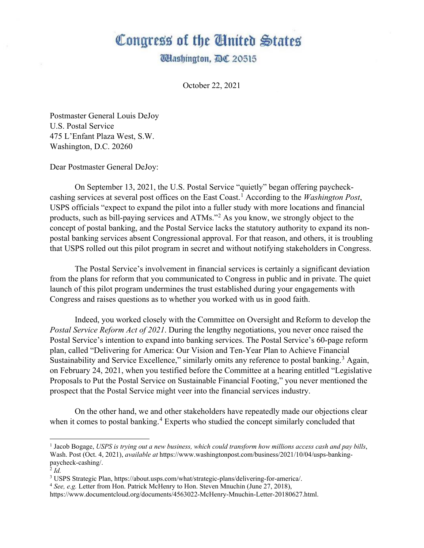## Congress of the Ginited States

**Washington, DC 20515** 

October 22, 2021

Postmaster General Louis DeJoy U.S. Postal Service 475 L'Enfant Plaza West, S.W. Washington, D.C. 20260

Dear Postmaster General DeJoy:

On September 13, 2021, the U.S. Postal Service "quietly" began offering paycheckcashing services at several post offices on the East Coast.[1](#page-0-0) According to the *Washington Post*, USPS officials "expect to expand the pilot into a fuller study with more locations and financial products, such as bill-paying services and ATMs."[2](#page-0-1) As you know, we strongly object to the concept of postal banking, and the Postal Service lacks the statutory authority to expand its nonpostal banking services absent Congressional approval. For that reason, and others, it is troubling that USPS rolled out this pilot program in secret and without notifying stakeholders in Congress.

The Postal Service's involvement in financial services is certainly a significant deviation from the plans for reform that you communicated to Congress in public and in private. The quiet launch of this pilot program undermines the trust established during your engagements with Congress and raises questions as to whether you worked with us in good faith.

Indeed, you worked closely with the Committee on Oversight and Reform to develop the *Postal Service Reform Act of 2021*. During the lengthy negotiations, you never once raised the Postal Service's intention to expand into banking services. The Postal Service's 60-page reform plan, called "Delivering for America: Our Vision and Ten-Year Plan to Achieve Financial Sustainability and Service Excellence," similarly omits any reference to postal banking.<sup>[3](#page-0-2)</sup> Again, on February 24, 2021, when you testified before the Committee at a hearing entitled "Legislative Proposals to Put the Postal Service on Sustainable Financial Footing," you never mentioned the prospect that the Postal Service might veer into the financial services industry.

On the other hand, we and other stakeholders have repeatedly made our objections clear when it comes to postal banking.<sup>[4](#page-0-3)</sup> Experts who studied the concept similarly concluded that

<span id="page-0-0"></span><sup>1</sup> Jacob Bogage, *USPS is trying out a new business, which could transform how millions access cash and pay bills*, Wash. Post (Oct. 4, 2021), *available at* https://www.washingtonpost.com/business/2021/10/04/usps-bankingpaycheck-cashing/.

<span id="page-0-1"></span> $\overline{2}$  *Id.* 

<span id="page-0-2"></span><sup>3</sup> USPS Strategic Plan, https://about.usps.com/what/strategic-plans/delivering-for-america/.

<span id="page-0-3"></span><sup>4</sup> *See, e.g.* Letter from Hon. Patrick McHenry to Hon. Steven Mnuchin (June 27, 2018),

https://www.documentcloud.org/documents/4563022-McHenry-Mnuchin-Letter-20180627.html.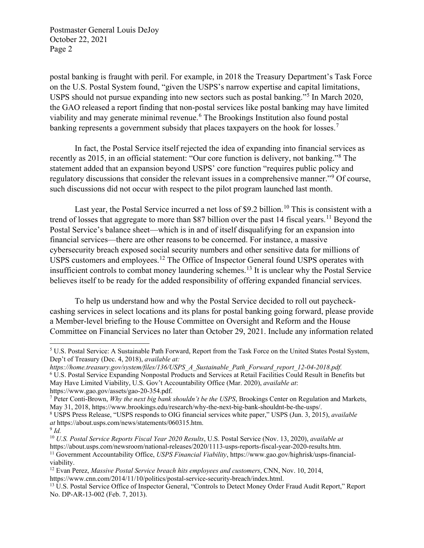Postmaster General Louis DeJoy October 22, 2021 Page 2

postal banking is fraught with peril. For example, in 2018 the Treasury Department's Task Force on the U.S. Postal System found, "given the USPS's narrow expertise and capital limitations, USPS should not pursue expanding into new sectors such as postal banking."[5](#page-1-0) In March 2020, the GAO released a report finding that non-postal services like postal banking may have limited viability and may generate minimal revenue.<sup>[6](#page-1-1)</sup> The Brookings Institution also found postal banking represents a government subsidy that places taxpayers on the hook for losses.<sup>[7](#page-1-2)</sup>

In fact, the Postal Service itself rejected the idea of expanding into financial services as recently as 2015, in an official statement: "Our core function is delivery, not banking."[8](#page-1-3) The statement added that an expansion beyond USPS' core function "requires public policy and regulatory discussions that consider the relevant issues in a comprehensive manner."[9](#page-1-4) Of course, such discussions did not occur with respect to the pilot program launched last month.

Last year, the Postal Service incurred a net loss of \$9.2 billion.<sup>[10](#page-1-5)</sup> This is consistent with a trend of losses that aggregate to more than \$87 billion over the past 14 fiscal years.<sup>[11](#page-1-6)</sup> Beyond the Postal Service's balance sheet—which is in and of itself disqualifying for an expansion into financial services—there are other reasons to be concerned. For instance, a massive cybersecurity breach exposed social security numbers and other sensitive data for millions of USPS customers and employees.<sup>[12](#page-1-7)</sup> The Office of Inspector General found USPS operates with insufficient controls to combat money laundering schemes.[13](#page-1-8) It is unclear why the Postal Service believes itself to be ready for the added responsibility of offering expanded financial services.

To help us understand how and why the Postal Service decided to roll out paycheckcashing services in select locations and its plans for postal banking going forward, please provide a Member-level briefing to the House Committee on Oversight and Reform and the House Committee on Financial Services no later than October 29, 2021. Include any information related

<span id="page-1-0"></span><sup>5</sup> U.S. Postal Service: A Sustainable Path Forward, Report from the Task Force on the United States Postal System, Dep't of Treasury (Dec. 4, 2018), *available at:* 

<span id="page-1-1"></span>*https://home.treasury.gov/system/files/136/USPS\_A\_Sustainable\_Path\_Forward\_report\_12-04-2018.pdf.* <sup>6</sup> U.S. Postal Service Expanding Nonpostal Products and Services at Retail Facilities Could Result in Benefits but May Have Limited Viability, U.S. Gov't Accountability Office (Mar. 2020), *available at*: https://www.gao.gov/assets/gao-20-354.pdf.

<span id="page-1-2"></span><sup>7</sup> Peter Conti-Brown, *Why the next big bank shouldn't be the USPS*, Brookings Center on Regulation and Markets, May 31, 2018, https://www.brookings.edu/research/why-the-next-big-bank-shouldnt-be-the-usps/.

<span id="page-1-3"></span><sup>8</sup> USPS Press Release, "USPS responds to OIG financial services white paper," USPS (Jun. 3, 2015), *available at* https://about.usps.com/news/statements/060315.htm.

<span id="page-1-4"></span><sup>9</sup> *Id.*

<span id="page-1-6"></span><span id="page-1-5"></span><sup>10</sup> *U.S. Postal Service Reports Fiscal Year 2020 Results*, U.S. Postal Service (Nov. 13, 2020), *available at*  https://about.usps.com/newsroom/national-releases/2020/1113-usps-reports-fiscal-year-2020-results.htm.<br><sup>11</sup> Government Accountability Office, *USPS Financial Viability*, https://www.gao.gov/highrisk/usps-financial-<br>viabili

<span id="page-1-7"></span><sup>&</sup>lt;sup>12</sup> Evan Perez, *Massive Postal Service breach hits employees and customers*, CNN, Nov. 10, 2014, https://www.cnn.com/2014/11/10/politics/postal-service-security-breach/index.html.

<span id="page-1-8"></span><sup>&</sup>lt;sup>13</sup> U.S. Postal Service Office of Inspector General, "Controls to Detect Money Order Fraud Audit Report," Report No. DP-AR-13-002 (Feb. 7, 2013).